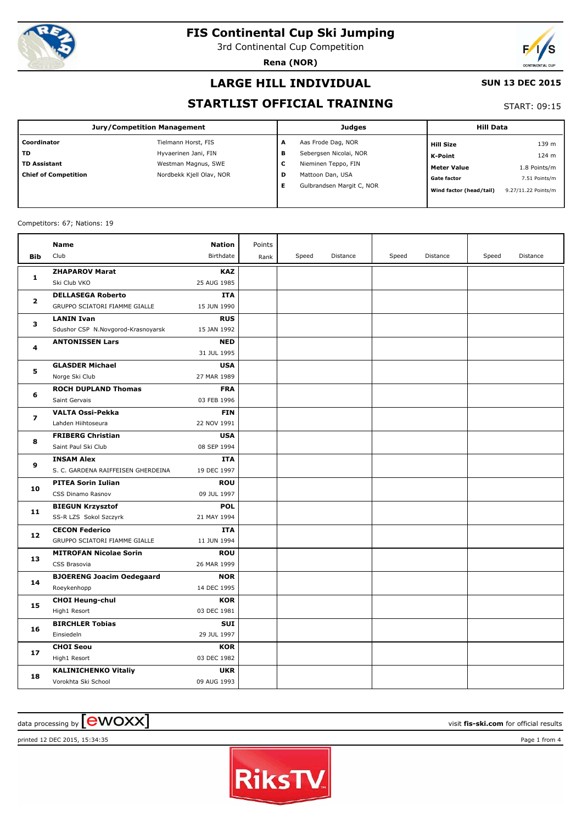

3rd Continental Cup Competition

**Rena (NOR)**



#### **LARGE HILL INDIVIDUAL**

#### **SUN 13 DEC 2015**

### **STARTLIST OFFICIAL TRAINING**

START: 09:15

|                             | Jury/Competition Management |   | Judges                    | <b>Hill Data</b>        |                     |
|-----------------------------|-----------------------------|---|---------------------------|-------------------------|---------------------|
| l Coordinator               | Tielmann Horst, FIS         | A | Aas Frode Dag, NOR        | <b>Hill Size</b>        | 139 m               |
| l TD                        | Hyvaerinen Jani, FIN        | в | Sebergsen Nicolai, NOR    | K-Point                 | 124 m               |
| TD Assistant                | Westman Magnus, SWE         | с | Nieminen Teppo, FIN       | <b>Meter Value</b>      | 1.8 Points/m        |
| <b>Chief of Competition</b> | Nordbekk Kjell Olav, NOR    | D | Mattoon Dan, USA          | <b>Gate factor</b>      | 7.51 Points/m       |
|                             |                             | Е | Gulbrandsen Margit C, NOR | Wind factor (head/tail) | 9.27/11.22 Points/m |
|                             |                             |   |                           |                         |                     |

#### Competitors: 67; Nations: 19

|                | Name                                               | <b>Nation</b>             | Points |       |          |       |          |       |          |
|----------------|----------------------------------------------------|---------------------------|--------|-------|----------|-------|----------|-------|----------|
| <b>Bib</b>     | Club                                               | Birthdate                 | Rank   | Speed | Distance | Speed | Distance | Speed | Distance |
|                | <b>ZHAPAROV Marat</b>                              | <b>KAZ</b>                |        |       |          |       |          |       |          |
| $\mathbf{1}$   | Ski Club VKO                                       | 25 AUG 1985               |        |       |          |       |          |       |          |
| $\overline{2}$ | <b>DELLASEGA Roberto</b>                           | <b>ITA</b>                |        |       |          |       |          |       |          |
|                | GRUPPO SCIATORI FIAMME GIALLE                      | 15 JUN 1990               |        |       |          |       |          |       |          |
| 3              | <b>LANIN Ivan</b>                                  | <b>RUS</b>                |        |       |          |       |          |       |          |
|                | Sdushor CSP N.Novgorod-Krasnoyarsk                 | 15 JAN 1992               |        |       |          |       |          |       |          |
| 4              | <b>ANTONISSEN Lars</b>                             | <b>NED</b>                |        |       |          |       |          |       |          |
|                |                                                    | 31 JUL 1995               |        |       |          |       |          |       |          |
| 5              | <b>GLASDER Michael</b>                             | <b>USA</b>                |        |       |          |       |          |       |          |
|                | Norge Ski Club                                     | 27 MAR 1989               |        |       |          |       |          |       |          |
| 6              | <b>ROCH DUPLAND Thomas</b>                         | <b>FRA</b>                |        |       |          |       |          |       |          |
|                | Saint Gervais                                      | 03 FEB 1996               |        |       |          |       |          |       |          |
| 7              | <b>VALTA Ossi-Pekka</b>                            | <b>FIN</b>                |        |       |          |       |          |       |          |
|                | Lahden Hiihtoseura                                 | 22 NOV 1991               |        |       |          |       |          |       |          |
| 8              | <b>FRIBERG Christian</b>                           | <b>USA</b>                |        |       |          |       |          |       |          |
|                | Saint Paul Ski Club                                | 08 SEP 1994               |        |       |          |       |          |       |          |
| 9              | <b>INSAM Alex</b>                                  | <b>ITA</b>                |        |       |          |       |          |       |          |
|                | S. C. GARDENA RAIFFEISEN GHERDEINA                 | 19 DEC 1997               |        |       |          |       |          |       |          |
| 10             | <b>PITEA Sorin Iulian</b>                          | <b>ROU</b>                |        |       |          |       |          |       |          |
|                | CSS Dinamo Rasnov                                  | 09 JUL 1997               |        |       |          |       |          |       |          |
| 11             | <b>BIEGUN Krzysztof</b>                            | <b>POL</b>                |        |       |          |       |          |       |          |
|                | SS-R LZS Sokol Szczyrk                             | 21 MAY 1994               |        |       |          |       |          |       |          |
| 12             | <b>CECON Federico</b>                              | <b>ITA</b>                |        |       |          |       |          |       |          |
|                | GRUPPO SCIATORI FIAMME GIALLE                      | 11 JUN 1994               |        |       |          |       |          |       |          |
| 13             | <b>MITROFAN Nicolae Sorin</b>                      | <b>ROU</b>                |        |       |          |       |          |       |          |
|                | CSS Brasovia                                       | 26 MAR 1999               |        |       |          |       |          |       |          |
| 14             | <b>BJOERENG Joacim Oedegaard</b>                   | <b>NOR</b>                |        |       |          |       |          |       |          |
|                | Roeykenhopp                                        | 14 DEC 1995               |        |       |          |       |          |       |          |
| 15             | <b>CHOI Heung-chul</b>                             | <b>KOR</b><br>03 DEC 1981 |        |       |          |       |          |       |          |
|                | High1 Resort                                       |                           |        |       |          |       |          |       |          |
| 16             | <b>BIRCHLER Tobias</b><br>Einsiedeln               | SUI<br>29 JUL 1997        |        |       |          |       |          |       |          |
|                |                                                    |                           |        |       |          |       |          |       |          |
| 17             | <b>CHOI Seou</b><br>High1 Resort                   | <b>KOR</b><br>03 DEC 1982 |        |       |          |       |          |       |          |
|                |                                                    | <b>UKR</b>                |        |       |          |       |          |       |          |
| 18             | <b>KALINICHENKO Vitaliy</b><br>Vorokhta Ski School | 09 AUG 1993               |        |       |          |       |          |       |          |
|                |                                                    |                           |        |       |          |       |          |       |          |

# $\alpha$  data processing by  $\boxed{\text{ewOX}}$

printed 12 DEC 2015, 15:34:35 Page 1 from 4

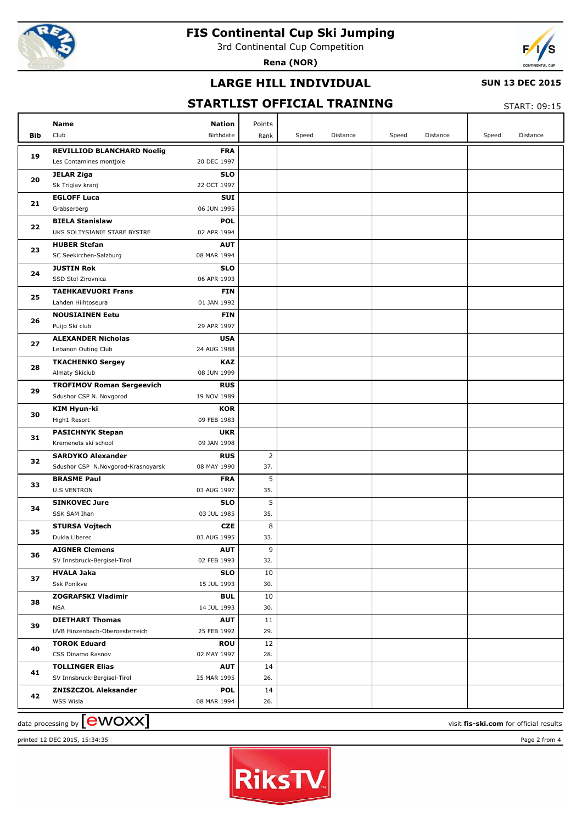

3rd Continental Cup Competition

**Rena (NOR)**



### **LARGE HILL INDIVIDUAL**

#### **SUN 13 DEC 2015**

### **STARTLIST OFFICIAL TRAINING**

START: 09:15

|     | <b>Name</b>                          | <b>Nation</b>             | Points         |       |          |       |          |       |          |
|-----|--------------------------------------|---------------------------|----------------|-------|----------|-------|----------|-------|----------|
| Bib | Club                                 | Birthdate                 | Rank           | Speed | Distance | Speed | Distance | Speed | Distance |
|     | <b>REVILLIOD BLANCHARD Noelig</b>    | <b>FRA</b>                |                |       |          |       |          |       |          |
| 19  | Les Contamines montjoie              | 20 DEC 1997               |                |       |          |       |          |       |          |
|     | <b>JELAR Ziga</b>                    | <b>SLO</b>                |                |       |          |       |          |       |          |
| 20  | Sk Triglav kranj                     | 22 OCT 1997               |                |       |          |       |          |       |          |
|     | <b>EGLOFF Luca</b>                   | <b>SUI</b>                |                |       |          |       |          |       |          |
| 21  | Grabserberg                          | 06 JUN 1995               |                |       |          |       |          |       |          |
|     | <b>BIELA Stanislaw</b>               | <b>POL</b>                |                |       |          |       |          |       |          |
| 22  | UKS SOLTYSIANIE STARE BYSTRE         | 02 APR 1994               |                |       |          |       |          |       |          |
|     | <b>HUBER Stefan</b>                  | <b>AUT</b>                |                |       |          |       |          |       |          |
| 23  | SC Seekirchen-Salzburg               | 08 MAR 1994               |                |       |          |       |          |       |          |
|     | <b>JUSTIN Rok</b>                    | <b>SLO</b>                |                |       |          |       |          |       |          |
| 24  | SSD Stol Zirovnica                   | 06 APR 1993               |                |       |          |       |          |       |          |
| 25  | <b>TAEHKAEVUORI Frans</b>            | <b>FIN</b>                |                |       |          |       |          |       |          |
|     | Lahden Hiihtoseura                   | 01 JAN 1992               |                |       |          |       |          |       |          |
| 26  | <b>NOUSIAINEN Eetu</b>               | <b>FIN</b>                |                |       |          |       |          |       |          |
|     | Puijo Ski club                       | 29 APR 1997               |                |       |          |       |          |       |          |
| 27  | <b>ALEXANDER Nicholas</b>            | <b>USA</b>                |                |       |          |       |          |       |          |
|     | Lebanon Outing Club                  | 24 AUG 1988               |                |       |          |       |          |       |          |
| 28  | <b>TKACHENKO Sergey</b>              | <b>KAZ</b>                |                |       |          |       |          |       |          |
|     | Almaty Skiclub                       | 08 JUN 1999               |                |       |          |       |          |       |          |
| 29  | <b>TROFIMOV Roman Sergeevich</b>     | <b>RUS</b>                |                |       |          |       |          |       |          |
|     | Sdushor CSP N. Novgorod              | 19 NOV 1989               |                |       |          |       |          |       |          |
| 30  | <b>KIM Hyun-ki</b>                   | <b>KOR</b>                |                |       |          |       |          |       |          |
|     | High1 Resort                         | 09 FEB 1983               |                |       |          |       |          |       |          |
| 31  | <b>PASICHNYK Stepan</b>              | <b>UKR</b>                |                |       |          |       |          |       |          |
|     | Kremenets ski school                 | 09 JAN 1998               |                |       |          |       |          |       |          |
| 32  | <b>SARDYKO Alexander</b>             | <b>RUS</b>                | $\overline{2}$ |       |          |       |          |       |          |
|     | Sdushor CSP N.Novgorod-Krasnoyarsk   | 08 MAY 1990               | 37.            |       |          |       |          |       |          |
| 33  | <b>BRASME Paul</b>                   | <b>FRA</b>                | 5              |       |          |       |          |       |          |
|     | <b>U.S VENTRON</b>                   | 03 AUG 1997               | 35.            |       |          |       |          |       |          |
| 34  | <b>SINKOVEC Jure</b><br>SSK SAM Ihan | <b>SLO</b><br>03 JUL 1985 | 5<br>35.       |       |          |       |          |       |          |
|     | <b>STURSA Vojtech</b>                | <b>CZE</b>                | 8              |       |          |       |          |       |          |
| 35  | Dukla Liberec                        | 03 AUG 1995               | 33.            |       |          |       |          |       |          |
|     | <b>AIGNER Clemens</b>                | <b>AUT</b>                | 9              |       |          |       |          |       |          |
| 36  | SV Innsbruck-Bergisel-Tirol          | 02 FEB 1993               | 32.            |       |          |       |          |       |          |
|     | <b>HVALA Jaka</b>                    | <b>SLO</b>                | 10             |       |          |       |          |       |          |
| 37  | Ssk Ponikve                          | 15 JUL 1993               | 30.            |       |          |       |          |       |          |
|     | <b>ZOGRAFSKI Vladimir</b>            | <b>BUL</b>                | 10             |       |          |       |          |       |          |
| 38  | <b>NSA</b>                           | 14 JUL 1993               | 30.            |       |          |       |          |       |          |
|     | <b>DIETHART Thomas</b>               | <b>AUT</b>                | 11             |       |          |       |          |       |          |
| 39  | UVB Hinzenbach-Oberoesterreich       | 25 FEB 1992               | 29.            |       |          |       |          |       |          |
|     | <b>TOROK Eduard</b>                  | <b>ROU</b>                | 12             |       |          |       |          |       |          |
| 40  | CSS Dinamo Rasnov                    | 02 MAY 1997               | 28.            |       |          |       |          |       |          |
|     | <b>TOLLINGER Elias</b>               | <b>AUT</b>                | 14             |       |          |       |          |       |          |
| 41  | SV Innsbruck-Bergisel-Tirol          | 25 MAR 1995               | 26.            |       |          |       |          |       |          |
|     | <b>ZNISZCZOL Aleksander</b>          | <b>POL</b>                | 14             |       |          |       |          |       |          |
| 42  | WSS Wisla                            | 08 MAR 1994               | 26.            |       |          |       |          |       |          |
|     |                                      |                           |                |       |          |       |          |       |          |

printed 12 DEC 2015, 15:34:35 Page 2 from 4



 $\frac{1}{2}$  data processing by  $\boxed{\text{ewOX}}$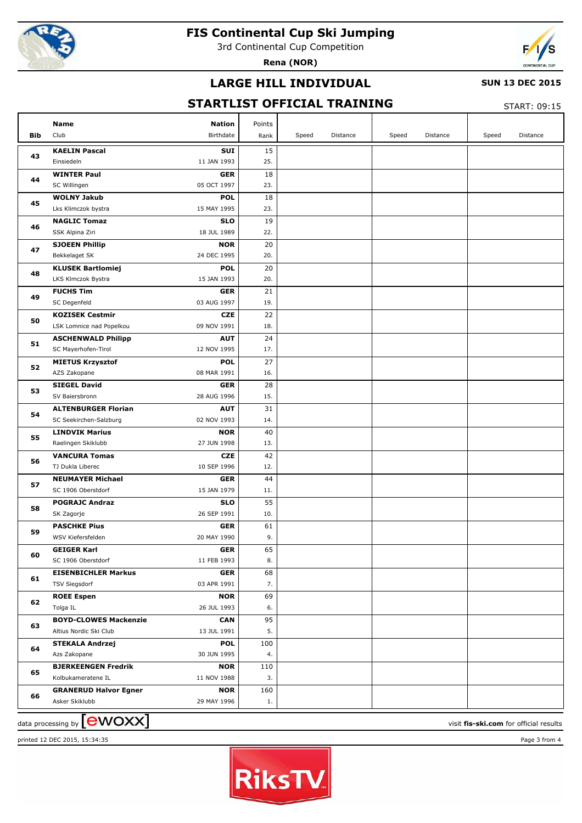

3rd Continental Cup Competition

**Rena (NOR)**



### **LARGE HILL INDIVIDUAL**

#### **SUN 13 DEC 2015**

## **STARTLIST OFFICIAL TRAINING**

START: 09:15

|            | Name<br><b>Nation</b>                                    | Points    |       |          |       |          |       |          |
|------------|----------------------------------------------------------|-----------|-------|----------|-------|----------|-------|----------|
| <b>Bib</b> | Club<br>Birthdate                                        | Rank      | Speed | Distance | Speed | Distance | Speed | Distance |
| 43         | <b>KAELIN Pascal</b><br>SUI<br>11 JAN 1993<br>Einsiedeln | 15<br>25. |       |          |       |          |       |          |
|            | <b>WINTER Paul</b><br><b>GER</b>                         | 18        |       |          |       |          |       |          |
| 44         | SC Willingen<br>05 OCT 1997                              | 23.       |       |          |       |          |       |          |
|            | <b>WOLNY Jakub</b><br><b>POL</b>                         | 18        |       |          |       |          |       |          |
| 45         | 15 MAY 1995<br>Lks Klimczok bystra                       | 23.       |       |          |       |          |       |          |
|            | <b>NAGLIC Tomaz</b><br><b>SLO</b>                        | 19        |       |          |       |          |       |          |
| 46         | 18 JUL 1989<br>SSK Alpina Ziri                           | 22.       |       |          |       |          |       |          |
|            | <b>SJOEEN Phillip</b><br><b>NOR</b>                      | 20        |       |          |       |          |       |          |
| 47         | 24 DEC 1995<br>Bekkelaget SK                             | 20.       |       |          |       |          |       |          |
|            | <b>KLUSEK Bartlomiej</b><br><b>POL</b>                   | 20        |       |          |       |          |       |          |
| 48         | 15 JAN 1993<br>LKS Klmczok Bystra                        | 20.       |       |          |       |          |       |          |
|            | <b>FUCHS Tim</b><br><b>GER</b>                           | 21        |       |          |       |          |       |          |
| 49         | SC Degenfeld<br>03 AUG 1997                              | 19.       |       |          |       |          |       |          |
|            | <b>KOZISEK Cestmir</b><br><b>CZE</b>                     | 22        |       |          |       |          |       |          |
| 50         | LSK Lomnice nad Popelkou<br>09 NOV 1991                  | 18.       |       |          |       |          |       |          |
|            | <b>ASCHENWALD Philipp</b><br><b>AUT</b>                  | 24        |       |          |       |          |       |          |
| 51         | 12 NOV 1995<br>SC Mayerhofen-Tirol                       | 17.       |       |          |       |          |       |          |
|            | <b>POL</b><br><b>MIETUS Krzysztof</b>                    | 27        |       |          |       |          |       |          |
| 52         | AZS Zakopane<br>08 MAR 1991                              | 16.       |       |          |       |          |       |          |
|            | <b>SIEGEL David</b><br><b>GER</b>                        | 28        |       |          |       |          |       |          |
| 53         | SV Baiersbronn<br>28 AUG 1996                            | 15.       |       |          |       |          |       |          |
|            | <b>ALTENBURGER Florian</b><br><b>AUT</b>                 | 31        |       |          |       |          |       |          |
| 54         | 02 NOV 1993<br>SC Seekirchen-Salzburg                    | 14.       |       |          |       |          |       |          |
|            | <b>LINDVIK Marius</b><br><b>NOR</b>                      | 40        |       |          |       |          |       |          |
| 55         | 27 JUN 1998<br>Raelingen Skiklubb                        | 13.       |       |          |       |          |       |          |
|            | <b>VANCURA Tomas</b><br><b>CZE</b>                       | 42        |       |          |       |          |       |          |
| 56         | TJ Dukla Liberec<br>10 SEP 1996                          | 12.       |       |          |       |          |       |          |
|            | <b>NEUMAYER Michael</b><br><b>GER</b>                    | 44        |       |          |       |          |       |          |
| 57         | SC 1906 Oberstdorf<br>15 JAN 1979                        | 11.       |       |          |       |          |       |          |
|            | <b>POGRAJC Andraz</b><br><b>SLO</b>                      | 55        |       |          |       |          |       |          |
| 58         | 26 SEP 1991<br>SK Zagorje                                | 10.       |       |          |       |          |       |          |
|            | <b>PASCHKE Pius</b><br><b>GER</b>                        | 61        |       |          |       |          |       |          |
| 59         | WSV Kiefersfelden<br>20 MAY 1990                         | 9.        |       |          |       |          |       |          |
|            | <b>GER</b><br><b>GEIGER Karl</b>                         | 65        |       |          |       |          |       |          |
| 60         | SC 1906 Oberstdorf<br>11 FEB 1993                        | 8.        |       |          |       |          |       |          |
| 61         | <b>EISENBICHLER Markus</b><br><b>GER</b>                 | 68        |       |          |       |          |       |          |
|            | <b>TSV Siegsdorf</b><br>03 APR 1991                      | 7.        |       |          |       |          |       |          |
| 62         | <b>ROEE Espen</b><br><b>NOR</b>                          | 69        |       |          |       |          |       |          |
|            | Tolga IL<br>26 JUL 1993                                  | 6.        |       |          |       |          |       |          |
| 63         | <b>BOYD-CLOWES Mackenzie</b><br><b>CAN</b>               | 95        |       |          |       |          |       |          |
|            | Altius Nordic Ski Club<br>13 JUL 1991                    | 5.        |       |          |       |          |       |          |
| 64         | <b>POL</b><br><b>STEKALA Andrzej</b>                     | 100       |       |          |       |          |       |          |
|            | Azs Zakopane<br>30 JUN 1995                              | 4.        |       |          |       |          |       |          |
| 65         | <b>BJERKEENGEN Fredrik</b><br><b>NOR</b>                 | 110       |       |          |       |          |       |          |
|            | 11 NOV 1988<br>Kolbukameratene IL                        | 3.        |       |          |       |          |       |          |
| 66         | <b>GRANERUD Halvor Egner</b><br><b>NOR</b>               | 160       |       |          |       |          |       |          |
|            | 29 MAY 1996<br>Asker Skiklubb                            | 1.        |       |          |       |          |       |          |



 $\frac{1}{2}$  data processing by  $\boxed{\text{ewOX}}$ 

printed 12 DEC 2015, 15:34:35 Page 3 from 4